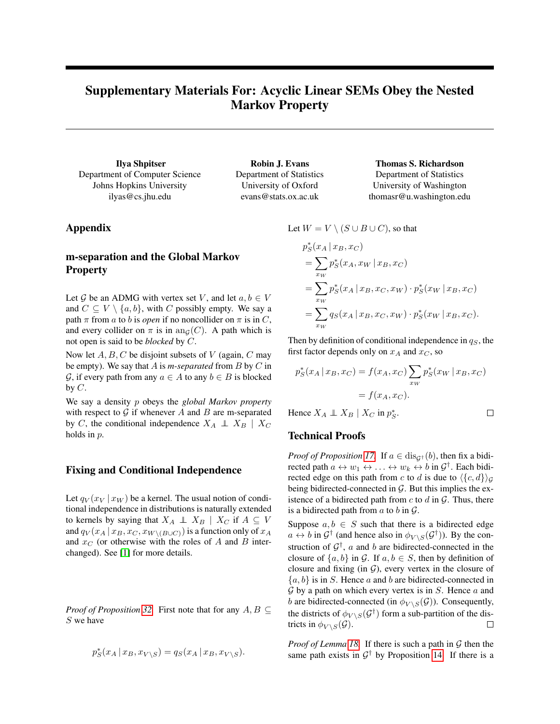# <span id="page-0-0"></span>Supplementary Materials For: Acyclic Linear SEMs Obey the Nested Markov Property

Ilya Shpitser Department of Computer Science Johns Hopkins University ilyas@cs.jhu.edu

Department of Statistics University of Oxford evans@stats.ox.ac.uk

Robin J. Evans

### Thomas S. Richardson Department of Statistics University of Washington

thomasr@u.washington.edu

## Appendix

## m-separation and the Global Markov **Property**

Let G be an ADMG with vertex set V, and let  $a, b \in V$ and  $C \subseteq V \setminus \{a, b\}$ , with C possibly empty. We say a path  $\pi$  from a to b is *open* if no noncollider on  $\pi$  is in C, and every collider on  $\pi$  is in an<sub>G</sub>(C). A path which is not open is said to be *blocked* by C.

Now let  $A, B, C$  be disjoint subsets of V (again, C may be empty). We say that A is *m-separated* from B by C in  $\mathcal{G}$ , if every path from any  $a \in A$  to any  $b \in B$  is blocked by  $C$ .

We say a density p obeys the *global Markov property* with respect to  $G$  if whenever  $A$  and  $B$  are m-separated by C, the conditional independence  $X_A \perp X_B \mid X_C$ holds in p.

### Fixing and Conditional Independence

Let  $q_V(x_V | x_W)$  be a kernel. The usual notion of conditional independence in distributions is naturally extended to kernels by saying that  $X_A \perp \!\!\!\! \perp X_B \mid X_C$  if  $A \subseteq V$ and  $q_V(x_A \,|\, x_B, x_C, x_{W \setminus (B \cup C)})$  is a function only of  $x_A$ and  $x_C$  (or otherwise with the roles of A and B interchanged). See [\[1\]](#page-2-0) for more details.

*Proof of Proposition 32.* First note that for any  $A, B \subseteq$ S we have

$$
p_S^*(x_A \,|\, x_B, x_{V \setminus S}) = q_S(x_A \,|\, x_B, x_{V \setminus S}).
$$

Let  $W = V \setminus (S \cup B \cup C)$ , so that

$$
p_S^*(x_A | x_B, x_C)
$$
  
=  $\sum_{x_W} p_S^*(x_A, x_W | x_B, x_C)$   
=  $\sum_{x_W} p_S^*(x_A | x_B, x_C, x_W) \cdot p_S^*(x_W | x_B, x_C)$   
=  $\sum_{x_W} q_S(x_A | x_B, x_C, x_W) \cdot p_S^*(x_W | x_B, x_C)$ .

Then by definition of conditional independence in  $q<sub>S</sub>$ , the first factor depends only on  $x_A$  and  $x_C$ , so

$$
p_S^*(x_A | x_B, x_C) = f(x_A, x_C) \sum_{x_W} p_S^*(x_W | x_B, x_C)
$$
  
=  $f(x_A, x_C)$ .

∗ S .

 $\Box$ 

Hence 
$$
X_A \perp \!\!\!\! \perp X_B \mid X_C
$$
 in p

#### Technical Proofs

*Proof of Proposition 17.* If  $a \in \text{dis}_{G^{\dagger}}(b)$ , then fix a bidirected path  $a \leftrightarrow w_1 \leftrightarrow \dots \leftrightarrow w_k \leftrightarrow b$  in  $\mathcal{G}^{\dagger}$ . Each bidirected edge on this path from c to d is due to  $\langle {c, d} \rangle_G$ being bidirected-connected in  $G$ . But this implies the existence of a bidirected path from  $c$  to  $d$  in  $\mathcal{G}$ . Thus, there is a bidirected path from  $a$  to  $b$  in  $\mathcal{G}$ .

Suppose  $a, b \in S$  such that there is a bidirected edge  $a \leftrightarrow b$  in  $\mathcal{G}^{\dagger}$  (and hence also in  $\phi_{V \setminus S}(\mathcal{G}^{\dagger})$ ). By the construction of  $\mathcal{G}^{\dagger}$ , a and b are bidirected-connected in the closure of  $\{a, b\}$  in G. If  $a, b \in S$ , then by definition of closure and fixing (in  $G$ ), every vertex in the closure of  $\{a, b\}$  is in S. Hence a and b are bidirected-connected in  $G$  by a path on which every vertex is in  $S$ . Hence  $\alpha$  and b are bidirected-connected (in  $\phi_{V \setminus S}(\mathcal{G})$ ). Consequently, the districts of  $\phi_{V \setminus S}(\mathcal{G}^{\dagger})$  form a sub-partition of the districts in  $\phi_{V\setminus S}(\mathcal{G})$ .  $\Box$ 

*Proof of Lemma 18.* If there is such a path in  $G$  then the same path exists in  $\mathcal{G}^{\dagger}$  by Proposition 14. If there is a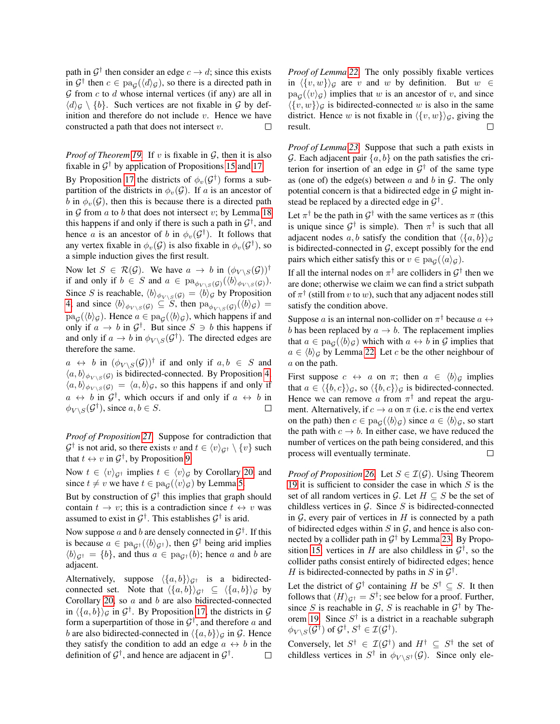path in  $\mathcal{G}^{\dagger}$  then consider an edge  $c \to d$ ; since this exists in  $\mathcal{G}^{\dagger}$  then  $c \in \text{pa}_{\mathcal{G}}(\langle d \rangle_{\mathcal{G}})$ , so there is a directed path in  $G$  from  $c$  to  $d$  whose internal vertices (if any) are all in  $\langle d \rangle_{\mathcal{G}} \setminus \{b\}$ . Such vertices are not fixable in  $\mathcal{G}$  by definition and therefore do not include  $v$ . Hence we have constructed a path that does not intersect v. П

*Proof of Theorem [19.](#page-0-0)* If v is fixable in  $G$ , then it is also fixable in  $G^{\dagger}$  by application of Propositions [15](#page-0-0) and [17.](#page-0-0)

By Proposition [17](#page-0-0) the districts of  $\phi_v(\mathcal{G}^{\dagger})$  forms a subpartition of the districts in  $\phi_v(\mathcal{G})$ . If a is an ancestor of b in  $\phi_v(\mathcal{G})$ , then this is because there is a directed path in  $G$  from  $a$  to  $b$  that does not intersect  $v$ ; by Lemma [18](#page-0-0) this happens if and only if there is such a path in  $\mathcal{G}^{\dagger}$ , and hence *a* is an ancestor of *b* in  $\phi_v(\mathcal{G}^{\dagger})$ . It follows that any vertex fixable in  $\phi_v(\mathcal{G})$  is also fixable in  $\phi_v(\mathcal{G}^{\dagger})$ , so a simple induction gives the first result.

Now let  $S \in \mathcal{R}(\mathcal{G})$ . We have  $a \to b$  in  $(\phi_{V \setminus S}(\mathcal{G}))^{\dagger}$ if and only if  $b \in S$  and  $a \in pa_{\phi_{V \setminus S}(\mathcal{G})}(\langle b \rangle_{\phi_{V \setminus S}(\mathcal{G})}).$ Since S is reachable,  $\langle b \rangle_{\phi_{V \setminus S}(G)} = \langle b \rangle_{G}$  by Proposition [4;](#page-0-0) and since  $\langle b \rangle_{\phi_{V \setminus S}(G)} \subseteq S$ , then  $\text{pa}_{\phi_{V \setminus S}(G)}(\langle b \rangle_{G}) =$  $pa_{\mathcal{G}}(\langle b \rangle_{\mathcal{G}})$ . Hence  $a \in pa_{\mathcal{G}}(\langle b \rangle_{\mathcal{G}})$ , which happens if and only if  $a \to b$  in  $\mathcal{G}^{\dagger}$ . But since  $S \ni b$  this happens if and only if  $a \to b$  in  $\phi_{V \setminus S}(\mathcal{G}^{\dagger})$ . The directed edges are therefore the same.

 $a \leftrightarrow b$  in  $(\phi_{V \setminus S}(\mathcal{G}))^{\dagger}$  if and only if  $a, b \in S$  and  $\langle a, b \rangle_{\phi_{V \setminus S}(G)}$  is bidirected-connected. By Proposition [4,](#page-0-0)  $\langle a, b \rangle_{\phi_{V \setminus S}(\mathcal{G})} = \langle a, b \rangle_{\mathcal{G}}$ , so this happens if and only if  $a \leftrightarrow b$  in  $\mathcal{G}^{\dagger}$ , which occurs if and only if  $a \leftrightarrow b$  in  $\phi_{V \setminus S}(\mathcal{G}^{\dagger}),$  since  $a, b \in S$ .  $\Box$ 

*Proof of Proposition [21.](#page-0-0)* Suppose for contradiction that  $\mathcal{G}^{\dagger}$  is not arid, so there exists v and  $t \in \langle v \rangle_{\mathcal{G}^{\dagger}} \setminus \{v\}$  such that  $t \leftrightarrow v$  in  $\mathcal{G}^{\dagger}$ , by Proposition [9.](#page-0-0)

Now  $t \in \langle v \rangle_{\mathcal{G}^{\dagger}}$  implies  $t \in \langle v \rangle_{\mathcal{G}}$  by Corollary [20,](#page-0-0) and since  $t \neq v$  we have  $t \in pa_G(\langle v \rangle_G)$  by Lemma [5.](#page-0-0)

But by construction of  $G^{\dagger}$  this implies that graph should contain  $t \to v$ ; this is a contradiction since  $t \leftrightarrow v$  was assumed to exist in  $\mathcal{G}^{\dagger}$ . This establishes  $\mathcal{G}^{\dagger}$  is arid.

Now suppose a and b are densely connected in  $\mathcal{G}^{\dagger}$ . If this is because  $a \in pa_{\mathcal{G}^{\dagger}}(\langle b \rangle_{\mathcal{G}^{\dagger}})$ , then  $\mathcal{G}^{\dagger}$  being arid implies  $\langle b \rangle_{G^{\dagger}} = \{b\}$ , and thus  $a \in \text{pa}_{G^{\dagger}}(b)$ ; hence a and b are adjacent.

Alternatively, suppose  $\langle \{a, b\} \rangle_{G^{\dagger}}$  is a bidirectedconnected set. Note that  $\langle \{a, b\} \rangle_{G^{\dagger}} \subseteq \langle \{a, b\} \rangle_G$  by Corollary [20,](#page-0-0) so a and b are also bidirected-connected in  $\langle \{a, b\} \rangle_{\mathcal{G}}$  in  $\mathcal{G}^{\dagger}$ . By Proposition [17,](#page-0-0) the districts in  $\mathcal{G}$ form a superpartition of those in  $\mathcal{G}^{\dagger}$ , and therefore a and b are also bidirected-connected in  $\langle \{a, b\} \rangle_G$  in G. Hence they satisfy the condition to add an edge  $a \leftrightarrow b$  in the definition of  $\mathcal{G}^{\dagger}$ , and hence are adjacent in  $\mathcal{G}^{\dagger}$ .  $\Box$  *Proof of Lemma [22.](#page-0-0)* The only possibly fixable vertices in  $\langle \{v, w\} \rangle_G$  are v and w by definition. But  $w \in$  $pa_{\mathcal{G}}(\langle v \rangle_{\mathcal{G}})$  implies that w is an ancestor of v, and since  $\langle \{v, w\} \rangle_G$  is bidirected-connected w is also in the same district. Hence w is not fixable in  $\langle \{v, w\} \rangle_G$ , giving the result. П

*Proof of Lemma [23.](#page-0-0)* Suppose that such a path exists in G. Each adjacent pair  $\{a, b\}$  on the path satisfies the criterion for insertion of an edge in  $\mathcal{G}^{\dagger}$  of the same type as (one of) the edge(s) between a and b in  $\mathcal G$ . The only potential concern is that a bidirected edge in  $G$  might instead be replaced by a directed edge in  $\mathcal{G}^{\dagger}$ .

Let  $\pi^{\dagger}$  be the path in  $\mathcal{G}^{\dagger}$  with the same vertices as  $\pi$  (this is unique since  $\mathcal{G}^{\dagger}$  is simple). Then  $\pi^{\dagger}$  is such that all adjacent nodes a, b satisfy the condition that  $\langle \{a, b\}\rangle_G$ is bidirected-connected in  $G$ , except possibly for the end pairs which either satisfy this or  $v \in \text{pa}_{\mathcal{G}}(\langle a \rangle_{\mathcal{G}})$ .

If all the internal nodes on  $\pi^{\dagger}$  are colliders in  $\mathcal{G}^{\dagger}$  then we are done; otherwise we claim we can find a strict subpath of  $\pi^{\dagger}$  (still from v to w), such that any adjacent nodes still satisfy the condition above.

Suppose a is an internal non-collider on  $\pi^{\dagger}$  because  $a \leftrightarrow$ b has been replaced by  $a \to b$ . The replacement implies that  $a \in \text{pa}_{\mathcal{G}}(\langle b \rangle_{\mathcal{G}})$  which with  $a \leftrightarrow b$  in  $\mathcal{G}$  implies that  $a \in \langle b \rangle_G$  by Lemma [22.](#page-0-0) Let c be the other neighbour of a on the path.

First suppose  $c \leftrightarrow a$  on  $\pi$ ; then  $a \in \langle b \rangle_{\mathcal{G}}$  implies that  $a \in \langle \{b, c\} \rangle_G$ , so  $\langle \{b, c\} \rangle_G$  is bidirected-connected. Hence we can remove a from  $\pi^{\dagger}$  and repeat the argument. Alternatively, if  $c \to a$  on  $\pi$  (i.e. c is the end vertex on the path) then  $c \in \text{pa}_{\mathcal{G}}(\langle b \rangle_{\mathcal{G}})$  since  $a \in \langle b \rangle_{\mathcal{G}}$ , so start the path with  $c \to b$ . In either case, we have reduced the number of vertices on the path being considered, and this process will eventually terminate.  $\Box$ 

*Proof of Proposition* [26.](#page-0-0) Let  $S \in \mathcal{I}(\mathcal{G})$ . Using Theorem [19](#page-0-0) it is sufficient to consider the case in which  $S$  is the set of all random vertices in G. Let  $H \subseteq S$  be the set of childless vertices in  $G$ . Since  $S$  is bidirected-connected in  $G$ , every pair of vertices in  $H$  is connected by a path of bidirected edges within  $S$  in  $G$ , and hence is also connected by a collider path in  $G^{\dagger}$  by Lemma [23.](#page-0-0) By Propo-sition [15,](#page-0-0) vertices in H are also childless in  $\mathcal{G}^{\dagger}$ , so the collider paths consist entirely of bidirected edges; hence H is bidirected-connected by paths in S in  $\mathcal{G}^{\dagger}$ .

Let the district of  $\mathcal{G}^{\dagger}$  containing H be  $S^{\dagger} \subseteq S$ . It then follows that  $\langle H \rangle_{\mathcal{G}^{\dagger}} = S^{\dagger}$ ; see below for a proof. Further, since S is reachable in G, S is reachable in  $\mathcal{G}^{\dagger}$  by The-orem [19.](#page-0-0) Since  $S^{\dagger}$  is a district in a reachable subgraph  $\phi_{V \setminus S}(\mathcal{G}^\dagger)$  of  $\mathcal{G}^\dagger$ ,  $S^\dagger \in \mathcal{I}(\mathcal{G}^\dagger)$ .

Conversely, let  $S^{\dagger} \in \mathcal{I}(\mathcal{G}^{\dagger})$  and  $H^{\dagger} \subseteq S^{\dagger}$  the set of childless vertices in  $S^{\dagger}$  in  $\phi_{V \setminus S^{\dagger}}(\mathcal{G})$ . Since only ele-